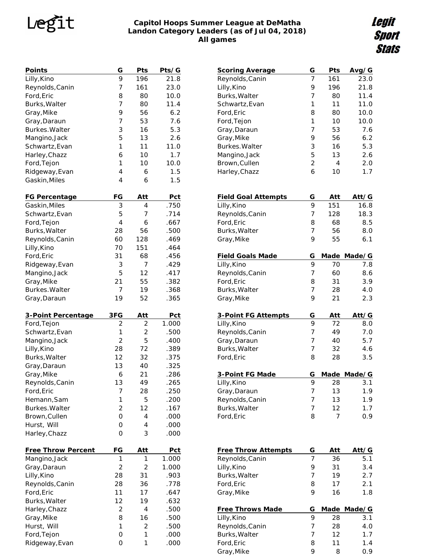# Legit

#### **Capitol Hoops Summer League at DeMatha Landon Category Leaders (as of Jul 04, 2018) All games**

Legit **Sport Stats** 

| Points                            | G              | Pts        | Pts/G      |
|-----------------------------------|----------------|------------|------------|
| Lilly, Kino                       | 9              | 196        | 21.8       |
| Reynolds, Canin                   | 7              | 161        | 23.0       |
| Ford, Eric                        | 8              | 80         | 10.0       |
| Burks, Walter                     | 7              | 80         | 11.4       |
| Gray, Mike                        | 9              | 56         | 6.2        |
| Gray, Daraun                      | 7              | 53         | 7.6        |
| <b>Burkes. Walter</b>             | 3              | 16         | 5.3        |
| Mangino, Jack                     | 5              | 13         | 2.6        |
| Schwartz, Evan                    | 1              | 11         | 11.0       |
| Harley, Chazz                     | 6              | 10         | 1.7        |
| Ford, Tejon                       | 1              | 10         | 10.0       |
| Ridgeway, Evan                    | 4              | 6          | 1.5        |
| Gaskin, Miles                     | $\overline{4}$ | 6          | 1.5        |
| <b>FG Percentage</b>              | FG             | <u>Att</u> | <u>Pct</u> |
| Gaskin, Miles                     | 3              | 4          | .750       |
| Schwartz, Evan                    | 5              | 7          | .714       |
| Ford, Tejon                       | 4              | 6          | .667       |
| Burks, Walter                     | 28             | 56         | .500       |
| Reynolds, Canin                   | 60             | 128        | .469       |
| Lilly, Kino                       | 70             | 151        | .464       |
| Ford, Eric                        | 31             | 68         | .456       |
| Ridgeway, Evan                    | 3              | 7          | .429       |
| Mangino, Jack                     | 5              | 12         | .417       |
| Gray, Mike                        | 21             | 55         | .382       |
| <b>Burkes. Walter</b>             | 7              | 19         | .368       |
| Gray, Daraun                      | 19             | 52         | .365       |
|                                   |                |            |            |
|                                   | 3FG            | <u>Att</u> | <u>Pct</u> |
| 3-Point Percentage<br>Ford, Tejon | 2              | 2          | 1.000      |
| Schwartz, Evan                    | 1              | 2          | .500       |
| Mangino, Jack                     | $\overline{2}$ | 5          | .400       |
| Lilly, Kino                       | 28             | 72         | .389       |
| Burks, Walter                     | 12             | 32         | .375       |
| Gray, Daraun                      | 13             | 40         | .325       |
| Gray, Mike                        | 6              | 21         | .286       |
|                                   | 13             | 49         | .265       |
| Reynolds, Canin<br>Ford, Eric     | 7              | 28         | .250       |
| Hemann, Sam                       | 1              | 5          | .200       |
| Burkes. Walter                    | $\overline{2}$ | 12         | .167       |
| Brown, Cullen                     | 0              | 4          | .000       |
| Hurst, Will                       | 0              | 4          | .000       |
| Harley, Chazz                     | 0              | 3          | .000       |
| <b>Free Throw Percent</b>         | FG             | Att        | <u>Pct</u> |
| Mangino, Jack                     | 1              | 1          | 1.000      |
| Gray, Daraun                      | 2              | 2          | 1.000      |
| Lilly, Kino                       | 28             | 31         | .903       |
| Reynolds, Canin                   | 28             | 36         | .778       |
| Ford, Eric                        | 11             | 17         | .647       |
| Burks, Walter                     | 12             | 19         | .632       |
| Harley, Chazz                     | 2              | 4          | .500       |
| Gray, Mike                        | 8              | 16         | .500       |
| Hurst, Will                       | 1              | 2          | .500       |
| Ford, Tejon                       | 0              | 1          | .000       |

| <b>Scoring Average</b>      | G              | Pts         | Avg/G       |
|-----------------------------|----------------|-------------|-------------|
| Reynolds, Canin             | 7              | 161         | 23.0        |
| Lilly, Kino                 | 9              | 196         | 21.8        |
| Burks, Walter               | 7              | 80          | 11.4        |
| Schwartz, Evan              | 1              | 11          | 11.0        |
| Ford, Eric                  | 8              | 80          | 10.0        |
| Ford, Tejon                 | 1              | 10          | 10.0        |
| Gray, Daraun                | 7              | 53          | 7.6         |
| Gray, Mike                  | 9              | 56          | 6.2         |
| Burkes. Walter              | 3              | 16          | 5.3         |
| Mangino, Jack               | 5              | 13          | 2.6         |
| Brown, Cullen               | $\overline{2}$ | 4           | 2.0         |
|                             | 6              |             |             |
| Harley, Chazz               |                | 10          | 1.7         |
| <b>Field Goal Attempts</b>  | G              | Att         | Att/G       |
| Lilly, Kino                 | 9              | 151         | 16.8        |
| Reynolds, Canin             | 7              | 128         | 18.3        |
| Ford, Eric                  | 8              | 68          | 8.5         |
| Burks, Walter               | 7              | 56          |             |
|                             |                |             | 8.0         |
| Gray, Mike                  | 9              | 55          | 6.1         |
| <b>Field Goals Made</b>     | G              | <b>Made</b> | Made/G      |
| Lilly, Kino                 | 9              | 70          | 7.8         |
| Reynolds, Canin             | 7              | 60          | 8.6         |
| Ford, Eric                  | 8              | 31          | 3.9         |
| Burks, Walter               | 7              | 28          | 4.0         |
|                             |                |             |             |
|                             |                |             |             |
| Gray, Mike                  | 9              | 21          | 2.3         |
|                             |                |             |             |
| 3-Point FG Attempts         | G              | Att         | Att/G       |
| Lilly, Kino                 | 9              | 72          | 8.0         |
| Reynolds, Canin             | 7              | 49          | 7.0         |
| Gray, Daraun                | 7              | 40          | 5.7         |
| Burks, Walter               | 7              | 32          | 4.6         |
| Ford, Eric                  | 8              | 28          | 3.5         |
| 3-Point FG Made             | G              |             | Made Made/G |
| Lilly, Kino                 | 9              | 28          | 3.1         |
| Gray, Daraun                | 7              | 13          | 1.9         |
| Reynolds, Canin             | 7              | 13          | 1.9         |
|                             | 7              | 12          | 1.7         |
| Burks, Walter<br>Ford, Eric | 8              | 7           | 0.9         |
|                             |                |             |             |
| <b>Free Throw Attempts</b>  | G              | Att         | Att/G       |
|                             | 7              |             |             |
| Reynolds, Canin             | 9              | 36          | 5.1         |
| Lilly, Kino                 |                | 31          | 3.4         |
| Burks, Walter               | 7              | 19          | 2.7         |
| Ford, Eric<br>Gray, Mike    | 8<br>9         | 17<br>16    | 2.1<br>1.8  |
|                             |                |             |             |
| <b>Free Throws Made</b>     | G              | <u>Made</u> | Made/G      |
| Lilly, Kino                 | 9              | 28          | 3.1         |
| Reynolds, Canin             | 7              | 28          | 4.0         |
| Burks, Walter<br>Ford, Eric | 7<br>8         | 12<br>11    | 1.7<br>1.4  |

Gray, Mike 9 8 0.9